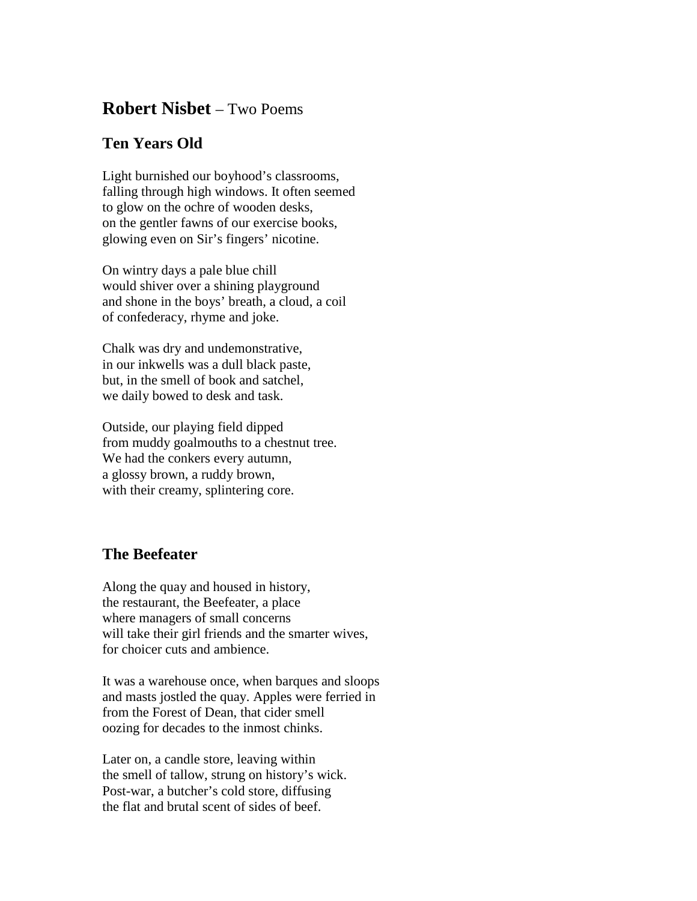## **Robert Nisbet** – Two Poems

## **Ten Years Old**

Light burnished our boyhood's classrooms, falling through high windows. It often seemed to glow on the ochre of wooden desks, on the gentler fawns of our exercise books, glowing even on Sir's fingers' nicotine.

On wintry days a pale blue chill would shiver over a shining playground and shone in the boys' breath, a cloud, a coil of confederacy, rhyme and joke.

Chalk was dry and undemonstrative, in our inkwells was a dull black paste, but, in the smell of book and satchel, we daily bowed to desk and task.

Outside, our playing field dipped from muddy goalmouths to a chestnut tree. We had the conkers every autumn, a glossy brown, a ruddy brown, with their creamy, splintering core.

## **The Beefeater**

Along the quay and housed in history, the restaurant, the Beefeater, a place where managers of small concerns will take their girl friends and the smarter wives, for choicer cuts and ambience.

It was a warehouse once, when barques and sloops and masts jostled the quay. Apples were ferried in from the Forest of Dean, that cider smell oozing for decades to the inmost chinks.

Later on, a candle store, leaving within the smell of tallow, strung on history's wick. Post-war, a butcher's cold store, diffusing the flat and brutal scent of sides of beef.